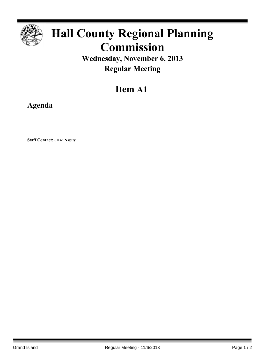

# **Hall County Regional Planning Commission**

**Wednesday, November 6, 2013 Regular Meeting**

## **Item A1**

**Agenda**

**Staff Contact: Chad Nabity**